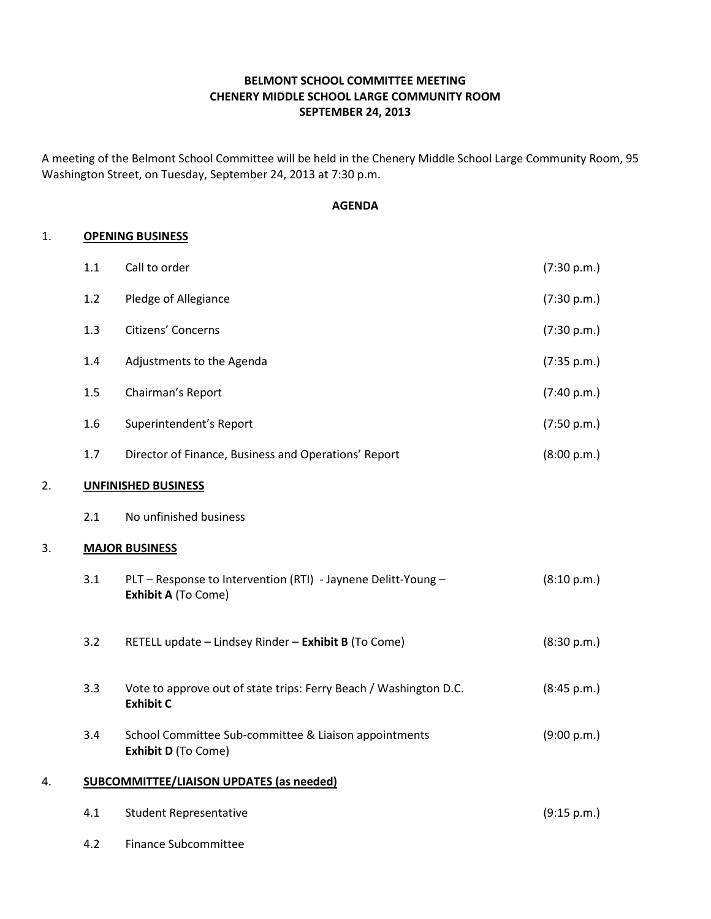# BELMONT SCHOOL COMMITTEE MEETING CHENERY MIDDLE SCHOOL LARGE COMMUNITY ROOM SEPTEMBER 24, 2013

A meeting of the Belmont School Committee will be held in the Chenery Middle School Large Community Room, 95 Washington Street, on Tuesday, September 24, 2013 at 7:30 p.m.

#### AGENDA

#### 1. OPENING BUSINESS

|    | 1.1                                             | Call to order                                                                         | (7:30 p.m.) |  |
|----|-------------------------------------------------|---------------------------------------------------------------------------------------|-------------|--|
|    | 1.2                                             | Pledge of Allegiance                                                                  | (7:30 p.m.) |  |
|    | 1.3                                             | Citizens' Concerns                                                                    | (7:30 p.m.) |  |
|    | 1.4                                             | Adjustments to the Agenda                                                             | (7:35 p.m.) |  |
|    | 1.5                                             | Chairman's Report                                                                     | (7:40 p.m.) |  |
|    | 1.6                                             | Superintendent's Report                                                               | (7:50 p.m.) |  |
|    | 1.7                                             | Director of Finance, Business and Operations' Report                                  | (8:00 p.m.) |  |
| 2. |                                                 | <b>UNFINISHED BUSINESS</b>                                                            |             |  |
|    | 2.1                                             | No unfinished business                                                                |             |  |
| 3. |                                                 | <b>MAJOR BUSINESS</b>                                                                 |             |  |
|    | 3.1                                             | PLT - Response to Intervention (RTI) - Jaynene Delitt-Young -<br>Exhibit A (To Come)  | (8:10 p.m.) |  |
|    | 3.2                                             | RETELL update - Lindsey Rinder - Exhibit B (To Come)                                  | (8:30 p.m.) |  |
|    | 3.3                                             | Vote to approve out of state trips: Ferry Beach / Washington D.C.<br><b>Exhibit C</b> | (8:45 p.m.) |  |
|    | 3.4                                             | School Committee Sub-committee & Liaison appointments<br>Exhibit D (To Come)          | (9:00 p.m.) |  |
| 4. | <b>SUBCOMMITTEE/LIAISON UPDATES (as needed)</b> |                                                                                       |             |  |
|    | 4.1                                             | <b>Student Representative</b>                                                         | (9:15 p.m.) |  |
|    | 4.2                                             | <b>Finance Subcommittee</b>                                                           |             |  |